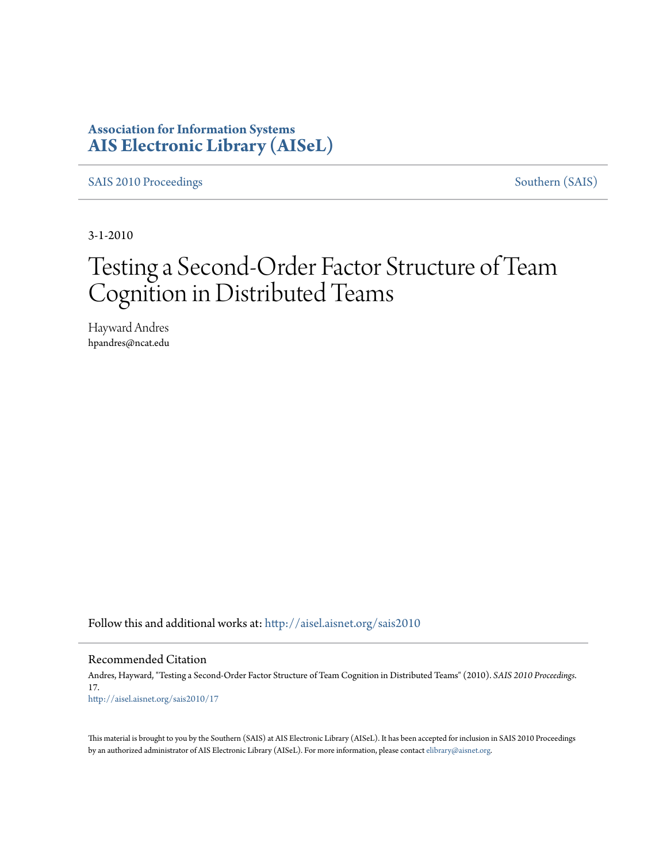## **Association for Information Systems [AIS Electronic Library \(AISeL\)](http://aisel.aisnet.org?utm_source=aisel.aisnet.org%2Fsais2010%2F17&utm_medium=PDF&utm_campaign=PDFCoverPages)**

[SAIS 2010 Proceedings](http://aisel.aisnet.org/sais2010?utm_source=aisel.aisnet.org%2Fsais2010%2F17&utm_medium=PDF&utm_campaign=PDFCoverPages) [Southern \(SAIS\)](http://aisel.aisnet.org/sais?utm_source=aisel.aisnet.org%2Fsais2010%2F17&utm_medium=PDF&utm_campaign=PDFCoverPages)

3-1-2010

# Testing a Second-Order Factor Structure of Team Cognition in Distributed Teams

Hayward Andres hpandres@ncat.edu

Follow this and additional works at: [http://aisel.aisnet.org/sais2010](http://aisel.aisnet.org/sais2010?utm_source=aisel.aisnet.org%2Fsais2010%2F17&utm_medium=PDF&utm_campaign=PDFCoverPages)

#### Recommended Citation

Andres, Hayward, "Testing a Second-Order Factor Structure of Team Cognition in Distributed Teams" (2010). *SAIS 2010 Proceedings*. 17. [http://aisel.aisnet.org/sais2010/17](http://aisel.aisnet.org/sais2010/17?utm_source=aisel.aisnet.org%2Fsais2010%2F17&utm_medium=PDF&utm_campaign=PDFCoverPages)

This material is brought to you by the Southern (SAIS) at AIS Electronic Library (AISeL). It has been accepted for inclusion in SAIS 2010 Proceedings by an authorized administrator of AIS Electronic Library (AISeL). For more information, please contact [elibrary@aisnet.org](mailto:elibrary@aisnet.org%3E).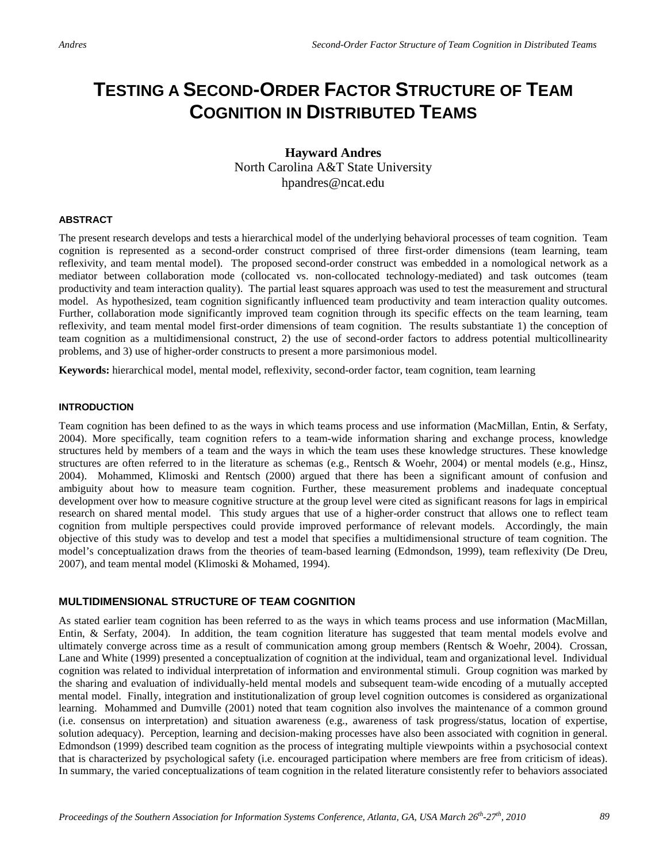## **TESTING A SECOND-ORDER FACTOR STRUCTURE OF TEAM COGNITION IN DISTRIBUTED TEAMS**

### **Hayward Andres** North Carolina A&T State University hpandres@ncat.edu

#### **ABSTRACT**

The present research develops and tests a hierarchical model of the underlying behavioral processes of team cognition. Team cognition is represented as a second-order construct comprised of three first-order dimensions (team learning, team reflexivity, and team mental model). The proposed second-order construct was embedded in a nomological network as a mediator between collaboration mode (collocated vs. non-collocated technology-mediated) and task outcomes (team productivity and team interaction quality). The partial least squares approach was used to test the measurement and structural model. As hypothesized, team cognition significantly influenced team productivity and team interaction quality outcomes. Further, collaboration mode significantly improved team cognition through its specific effects on the team learning, team reflexivity, and team mental model first-order dimensions of team cognition. The results substantiate 1) the conception of team cognition as a multidimensional construct, 2) the use of second-order factors to address potential multicollinearity problems, and 3) use of higher-order constructs to present a more parsimonious model.

**Keywords:** hierarchical model, mental model, reflexivity, second-order factor, team cognition, team learning

#### **INTRODUCTION**

Team cognition has been defined to as the ways in which teams process and use information (MacMillan, Entin, & Serfaty, 2004). More specifically, team cognition refers to a team-wide information sharing and exchange process, knowledge structures held by members of a team and the ways in which the team uses these knowledge structures. These knowledge structures are often referred to in the literature as schemas (e.g., Rentsch & Woehr, 2004) or mental models (e.g., Hinsz, 2004). Mohammed, Klimoski and Rentsch (2000) argued that there has been a significant amount of confusion and ambiguity about how to measure team cognition. Further, these measurement problems and inadequate conceptual development over how to measure cognitive structure at the group level were cited as significant reasons for lags in empirical research on shared mental model. This study argues that use of a higher-order construct that allows one to reflect team cognition from multiple perspectives could provide improved performance of relevant models. Accordingly, the main objective of this study was to develop and test a model that specifies a multidimensional structure of team cognition. The model's conceptualization draws from the theories of team-based learning (Edmondson, 1999), team reflexivity (De Dreu, 2007), and team mental model (Klimoski & Mohamed, 1994).

#### **MULTIDIMENSIONAL STRUCTURE OF TEAM COGNITION**

As stated earlier team cognition has been referred to as the ways in which teams process and use information (MacMillan, Entin, & Serfaty, 2004). In addition, the team cognition literature has suggested that team mental models evolve and ultimately converge across time as a result of communication among group members (Rentsch & Woehr, 2004). Crossan, Lane and White (1999) presented a conceptualization of cognition at the individual, team and organizational level. Individual cognition was related to individual interpretation of information and environmental stimuli. Group cognition was marked by the sharing and evaluation of individually-held mental models and subsequent team-wide encoding of a mutually accepted mental model. Finally, integration and institutionalization of group level cognition outcomes is considered as organizational learning. Mohammed and Dumville (2001) noted that team cognition also involves the maintenance of a common ground (i.e. consensus on interpretation) and situation awareness (e.g., awareness of task progress/status, location of expertise, solution adequacy). Perception, learning and decision-making processes have also been associated with cognition in general. Edmondson (1999) described team cognition as the process of integrating multiple viewpoints within a psychosocial context that is characterized by psychological safety (i.e. encouraged participation where members are free from criticism of ideas). In summary, the varied conceptualizations of team cognition in the related literature consistently refer to behaviors associated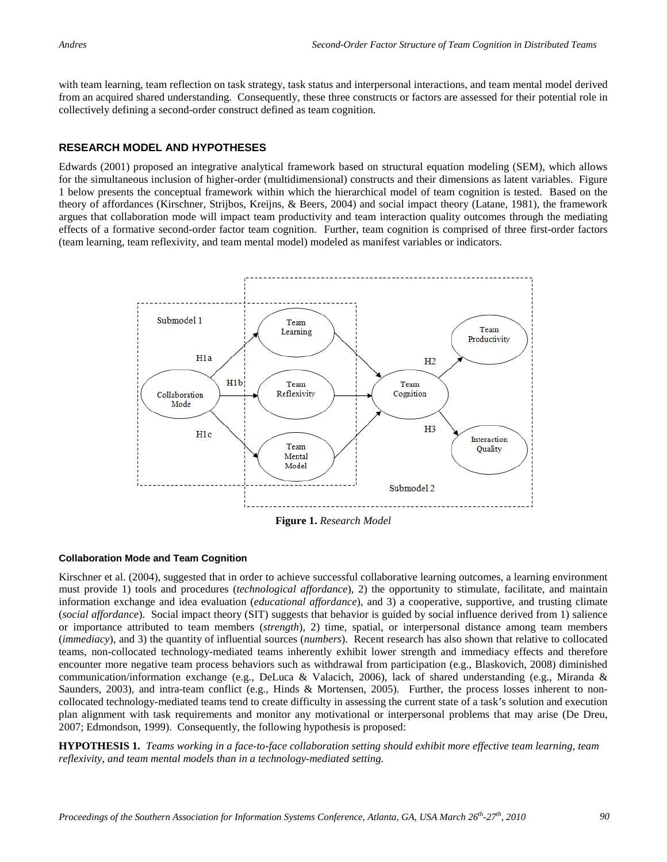with team learning, team reflection on task strategy, task status and interpersonal interactions, and team mental model derived from an acquired shared understanding. Consequently, these three constructs or factors are assessed for their potential role in collectively defining a second-order construct defined as team cognition.

#### **RESEARCH MODEL AND HYPOTHESES**

Edwards (2001) proposed an integrative analytical framework based on structural equation modeling (SEM), which allows for the simultaneous inclusion of higher-order (multidimensional) constructs and their dimensions as latent variables. Figure 1 below presents the conceptual framework within which the hierarchical model of team cognition is tested. Based on the theory of affordances (Kirschner, Strijbos, Kreijns, & Beers, 2004) and social impact theory (Latane, 1981), the framework argues that collaboration mode will impact team productivity and team interaction quality outcomes through the mediating effects of a formative second-order factor team cognition. Further, team cognition is comprised of three first-order factors (team learning, team reflexivity, and team mental model) modeled as manifest variables or indicators.



**Figure 1.** *Research Model*

#### **Collaboration Mode and Team Cognition**

Kirschner et al. (2004), suggested that in order to achieve successful collaborative learning outcomes, a learning environment must provide 1) tools and procedures (*technological affordance*), 2) the opportunity to stimulate, facilitate, and maintain information exchange and idea evaluation (*educational affordance*), and 3) a cooperative, supportive, and trusting climate (*social affordance*). Social impact theory (SIT) suggests that behavior is guided by social influence derived from 1) salience or importance attributed to team members (*strength*), 2) time, spatial, or interpersonal distance among team members (*immediacy*), and 3) the quantity of influential sources (*numbers*). Recent research has also shown that relative to collocated teams, non-collocated technology-mediated teams inherently exhibit lower strength and immediacy effects and therefore encounter more negative team process behaviors such as withdrawal from participation (e.g., Blaskovich, 2008) diminished communication/information exchange (e.g., DeLuca & Valacich, 2006), lack of shared understanding (e.g., Miranda & Saunders, 2003), and intra-team conflict (e.g., Hinds & Mortensen, 2005). Further, the process losses inherent to noncollocated technology-mediated teams tend to create difficulty in assessing the current state of a task's solution and execution plan alignment with task requirements and monitor any motivational or interpersonal problems that may arise (De Dreu, 2007; Edmondson, 1999). Consequently, the following hypothesis is proposed:

**HYPOTHESIS 1.** *Teams working in a face-to-face collaboration setting should exhibit more effective team learning, team reflexivity, and team mental models than in a technology-mediated setting.*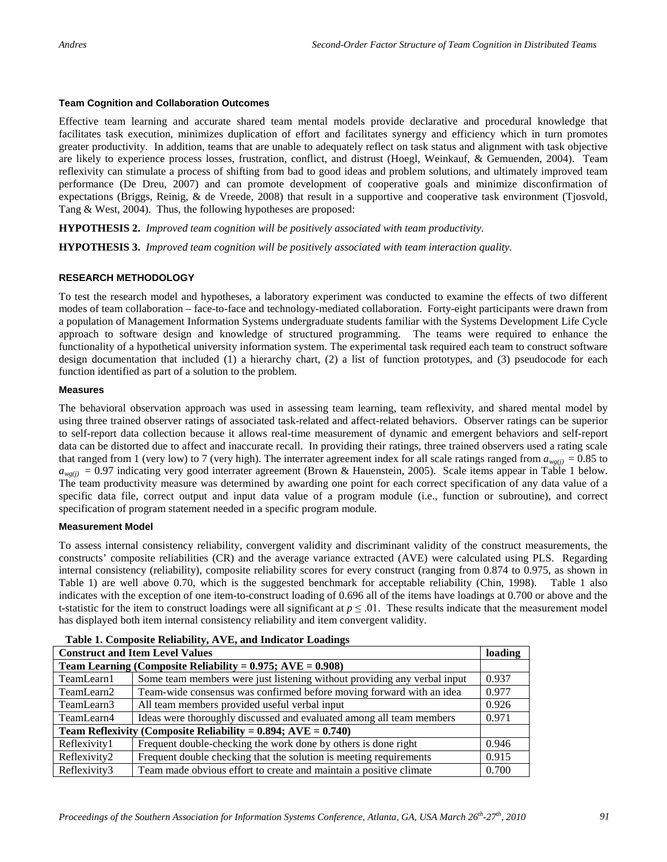#### **Team Cognition and Collaboration Outcomes**

Effective team learning and accurate shared team mental models provide declarative and procedural knowledge that facilitates task execution, minimizes duplication of effort and facilitates synergy and efficiency which in turn promotes greater productivity. In addition, teams that are unable to adequately reflect on task status and alignment with task objective are likely to experience process losses, frustration, conflict, and distrust (Hoegl, Weinkauf, & Gemuenden, 2004). Team reflexivity can stimulate a process of shifting from bad to good ideas and problem solutions, and ultimately improved team performance (De Dreu, 2007) and can promote development of cooperative goals and minimize disconfirmation of expectations (Briggs, Reinig, & de Vreede, 2008) that result in a supportive and cooperative task environment (Tjosvold, Tang & West, 2004). Thus, the following hypotheses are proposed:

**HYPOTHESIS 2.** *Improved team cognition will be positively associated with team productivity.*

**HYPOTHESIS 3.** *Improved team cognition will be positively associated with team interaction quality.*

#### **RESEARCH METHODOLOGY**

To test the research model and hypotheses, a laboratory experiment was conducted to examine the effects of two different modes of team collaboration – face-to-face and technology-mediated collaboration. Forty-eight participants were drawn from a population of Management Information Systems undergraduate students familiar with the Systems Development Life Cycle approach to software design and knowledge of structured programming. The teams were required to enhance the functionality of a hypothetical university information system. The experimental task required each team to construct software design documentation that included (1) a hierarchy chart, (2) a list of function prototypes, and (3) pseudocode for each function identified as part of a solution to the problem.

#### **Measures**

The behavioral observation approach was used in assessing team learning, team reflexivity, and shared mental model by using three trained observer ratings of associated task-related and affect-related behaviors. Observer ratings can be superior to self-report data collection because it allows real-time measurement of dynamic and emergent behaviors and self-report data can be distorted due to affect and inaccurate recall. In providing their ratings, three trained observers used a rating scale that ranged from 1 (very low) to 7 (very high). The interrater agreement index for all scale ratings ranged from  $a_{we(i)} = 0.85$  to  $a_{\text{wg}(i)} = 0.97$  indicating very good interrater agreement (Brown & Hauenstein, 2005). Scale items appear in Table 1 below. The team productivity measure was determined by awarding one point for each correct specification of any data value of a specific data file, correct output and input data value of a program module (i.e., function or subroutine), and correct specification of program statement needed in a specific program module.

#### **Measurement Model**

To assess internal consistency reliability, convergent validity and discriminant validity of the construct measurements, the constructs' composite reliabilities (CR) and the average variance extracted (AVE) were calculated using PLS. Regarding internal consistency (reliability), composite reliability scores for every construct (ranging from 0.874 to 0.975, as shown in Table 1) are well above 0.70, which is the suggested benchmark for acceptable reliability (Chin, 1998). Table 1 also indicates with the exception of one item-to-construct loading of 0.696 all of the items have loadings at 0.700 or above and the t-statistic for the item to construct loadings were all significant at  $p \le 0.01$ . These results indicate that the measurement model has displayed both item internal consistency reliability and item convergent validity.

| <b>Construct and Item Level Values</b>                              |                                                                          |       |  |  |
|---------------------------------------------------------------------|--------------------------------------------------------------------------|-------|--|--|
| Team Learning (Composite Reliability = $0.975$ ; AVE = $0.908$ )    |                                                                          |       |  |  |
| TeamLearn1                                                          | Some team members were just listening without providing any verbal input | 0.937 |  |  |
| TeamLearn2                                                          | Team-wide consensus was confirmed before moving forward with an idea     |       |  |  |
| TeamLearn3                                                          | All team members provided useful verbal input                            |       |  |  |
| TeamLearn4                                                          | Ideas were thoroughly discussed and evaluated among all team members     | 0.971 |  |  |
| Team Reflexivity (Composite Reliability = $0.894$ ; AVE = $0.740$ ) |                                                                          |       |  |  |
| Reflexivity1                                                        | Frequent double-checking the work done by others is done right           | 0.946 |  |  |
| Reflexivity2                                                        | Frequent double checking that the solution is meeting requirements       | 0.915 |  |  |
| Reflexivity3                                                        | Team made obvious effort to create and maintain a positive climate       | 0.700 |  |  |

 **Table 1. Composite Reliability, AVE, and Indicator Loadings**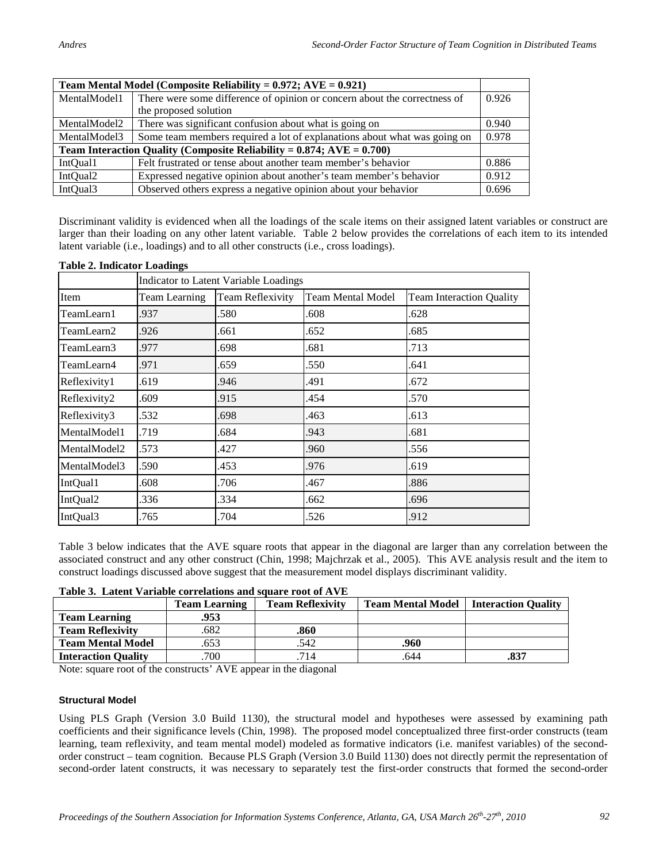| Team Mental Model (Composite Reliability = $0.972$ ; AVE = $0.921$ )        |                                                                           |       |  |  |  |
|-----------------------------------------------------------------------------|---------------------------------------------------------------------------|-------|--|--|--|
| MentalModel1                                                                | There were some difference of opinion or concern about the correctness of |       |  |  |  |
|                                                                             | the proposed solution                                                     |       |  |  |  |
| MentalModel2                                                                | There was significant confusion about what is going on                    |       |  |  |  |
| MentalModel3                                                                | Some team members required a lot of explanations about what was going on  |       |  |  |  |
| Team Interaction Quality (Composite Reliability = $0.874$ ; AVE = $0.700$ ) |                                                                           |       |  |  |  |
| IntQual1                                                                    | Felt frustrated or tense about another team member's behavior             | 0.886 |  |  |  |
| IntQual2                                                                    | Expressed negative opinion about another's team member's behavior         | 0.912 |  |  |  |
| IntQual3                                                                    | Observed others express a negative opinion about your behavior            | 0.696 |  |  |  |

Discriminant validity is evidenced when all the loadings of the scale items on their assigned latent variables or construct are larger than their loading on any other latent variable. Table 2 below provides the correlations of each item to its intended latent variable (i.e., loadings) and to all other constructs (i.e., cross loadings).

|              | Indicator to Latent Variable Loadings |                         |                   |                                 |  |  |
|--------------|---------------------------------------|-------------------------|-------------------|---------------------------------|--|--|
| Item         | <b>Team Learning</b>                  | <b>Team Reflexivity</b> | Team Mental Model | <b>Team Interaction Ouality</b> |  |  |
| TeamLearn1   | .937                                  | .580                    | .608              | .628                            |  |  |
| TeamLearn2   | .926                                  | .661                    | .652              | .685                            |  |  |
| TeamLearn3   | .977                                  | .698                    | .681              | .713                            |  |  |
| TeamLearn4   | .971                                  | .659                    | .550              | .641                            |  |  |
| Reflexivity1 | .619                                  | .946                    | .491              | .672                            |  |  |
| Reflexivity2 | .609                                  | .915                    | .454              | .570                            |  |  |
| Reflexivity3 | .532                                  | .698                    | .463              | .613                            |  |  |
| MentalModel1 | .719                                  | .684                    | .943              | .681                            |  |  |
| MentalModel2 | .573                                  | .427                    | .960              | .556                            |  |  |
| MentalModel3 | .590                                  | .453                    | .976              | .619                            |  |  |
| IntQual1     | .608                                  | .706                    | .467              | .886                            |  |  |
| IntQual2     | .336                                  | .334                    | .662              | .696                            |  |  |
| IntQual3     | .765                                  | .704                    | .526              | .912                            |  |  |

#### **Table 2. Indicator Loadings**

Table 3 below indicates that the AVE square roots that appear in the diagonal are larger than any correlation between the associated construct and any other construct (Chin, 1998; Majchrzak et al., 2005). This AVE analysis result and the item to construct loadings discussed above suggest that the measurement model displays discriminant validity.

**Table 3. Latent Variable correlations and square root of AVE**

|                            | <b>Team Learning</b> | <b>Team Reflexivity</b> | <b>Team Mental Model</b> | <b>Interaction Quality</b> |
|----------------------------|----------------------|-------------------------|--------------------------|----------------------------|
| <b>Team Learning</b>       | .953                 |                         |                          |                            |
| <b>Team Reflexivity</b>    | .682                 | .860                    |                          |                            |
| <b>Team Mental Model</b>   | .653                 | .542                    | 960.                     |                            |
| <b>Interaction Quality</b> | .700                 | 714                     | .644                     | .837                       |

Note: square root of the constructs' AVE appear in the diagonal

#### **Structural Model**

Using PLS Graph (Version 3.0 Build 1130), the structural model and hypotheses were assessed by examining path coefficients and their significance levels (Chin, 1998). The proposed model conceptualized three first-order constructs (team learning, team reflexivity, and team mental model) modeled as formative indicators (i.e. manifest variables) of the secondorder construct – team cognition. Because PLS Graph (Version 3.0 Build 1130) does not directly permit the representation of second-order latent constructs, it was necessary to separately test the first-order constructs that formed the second-order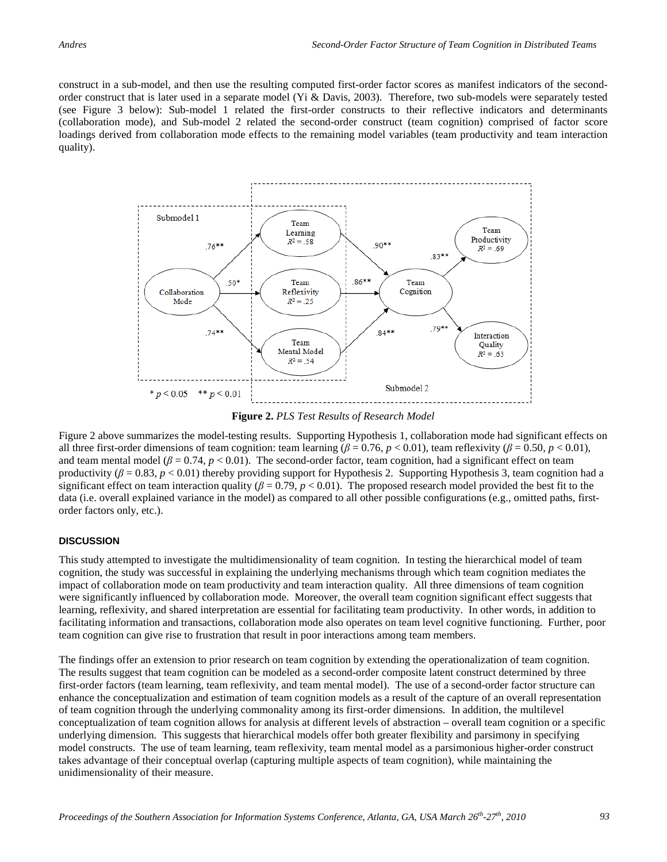construct in a sub-model, and then use the resulting computed first-order factor scores as manifest indicators of the secondorder construct that is later used in a separate model (Yi & Davis, 2003). Therefore, two sub-models were separately tested (see Figure 3 below): Sub-model 1 related the first-order constructs to their reflective indicators and determinants (collaboration mode), and Sub-model 2 related the second-order construct (team cognition) comprised of factor score loadings derived from collaboration mode effects to the remaining model variables (team productivity and team interaction quality).



**Figure 2.** *PLS Test Results of Research Model*

Figure 2 above summarizes the model-testing results. Supporting Hypothesis 1, collaboration mode had significant effects on all three first-order dimensions of team cognition: team learning  $(\beta = 0.76, p < 0.01)$ , team reflexivity  $(\beta = 0.50, p < 0.01)$ , and team mental model ( $\beta = 0.74$ ,  $p < 0.01$ ). The second-order factor, team cognition, had a significant effect on team productivity ( $\beta$  = 0.83,  $p$  < 0.01) thereby providing support for Hypothesis 2. Supporting Hypothesis 3, team cognition had a significant effect on team interaction quality ( $\beta = 0.79$ ,  $p < 0.01$ ). The proposed research model provided the best fit to the data (i.e. overall explained variance in the model) as compared to all other possible configurations (e.g., omitted paths, firstorder factors only, etc.).

#### **DISCUSSION**

This study attempted to investigate the multidimensionality of team cognition. In testing the hierarchical model of team cognition, the study was successful in explaining the underlying mechanisms through which team cognition mediates the impact of collaboration mode on team productivity and team interaction quality. All three dimensions of team cognition were significantly influenced by collaboration mode. Moreover, the overall team cognition significant effect suggests that learning, reflexivity, and shared interpretation are essential for facilitating team productivity. In other words, in addition to facilitating information and transactions, collaboration mode also operates on team level cognitive functioning. Further, poor team cognition can give rise to frustration that result in poor interactions among team members.

The findings offer an extension to prior research on team cognition by extending the operationalization of team cognition. The results suggest that team cognition can be modeled as a second-order composite latent construct determined by three first-order factors (team learning, team reflexivity, and team mental model). The use of a second-order factor structure can enhance the conceptualization and estimation of team cognition models as a result of the capture of an overall representation of team cognition through the underlying commonality among its first-order dimensions. In addition, the multilevel conceptualization of team cognition allows for analysis at different levels of abstraction – overall team cognition or a specific underlying dimension. This suggests that hierarchical models offer both greater flexibility and parsimony in specifying model constructs. The use of team learning, team reflexivity, team mental model as a parsimonious higher-order construct takes advantage of their conceptual overlap (capturing multiple aspects of team cognition), while maintaining the unidimensionality of their measure.